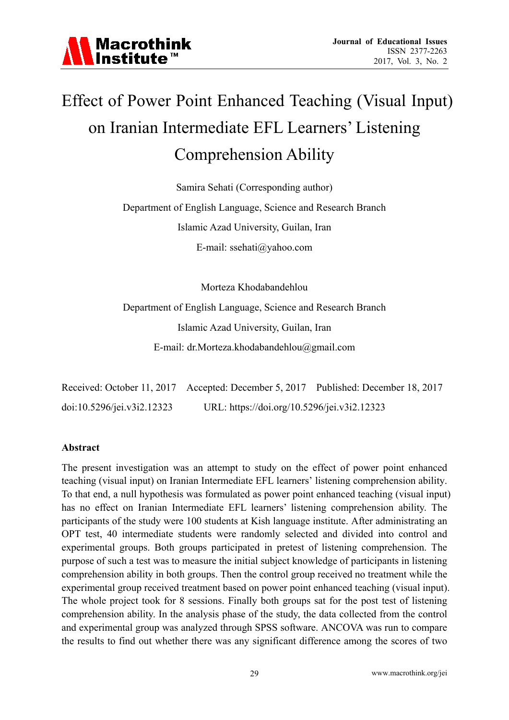

# Effect of Power Point Enhanced Teaching (Visual Input) on Iranian Intermediate EFL Learners' Listening Comprehension Ability

Samira Sehati (Corresponding author) Department of English Language, Science and Research Branch Islamic Azad University, Guilan, Iran E-mail: ssehati@yahoo.com

Morteza Khodabandehlou Department of English Language, Science and Research Branch Islamic Azad University, Guilan, Iran E-mail: dr.Morteza.khodabandehlou@gmail.com

|                            |                                             | Received: October 11, 2017 Accepted: December 5, 2017 Published: December 18, 2017 |
|----------------------------|---------------------------------------------|------------------------------------------------------------------------------------|
| doi:10.5296/jei.v3i2.12323 | URL: https://doi.org/10.5296/jei.v3i2.12323 |                                                                                    |

# **Abstract**

The present investigation was an attempt to study on the effect of power point enhanced teaching (visual input) on Iranian Intermediate EFL learners' listening comprehension ability. To that end, a null hypothesis was formulated as power point enhanced teaching (visual input) has no effect on Iranian Intermediate EFL learners' listening comprehension ability. The participants of the study were 100 students at Kish language institute. After administrating an OPT test, 40 intermediate students were randomly selected and divided into control and experimental groups. Both groups participated in pretest of listening comprehension. The purpose of such a test was to measure the initial subject knowledge of participants in listening comprehension ability in both groups. Then the control group received no treatment while the experimental group received treatment based on power point enhanced teaching (visual input). The whole project took for 8 sessions. Finally both groups sat for the post test of listening comprehension ability. In the analysis phase of the study, the data collected from the control and experimental group was analyzed through SPSS software. ANCOVA was run to compare the results to find out whether there was any significant difference among the scores of two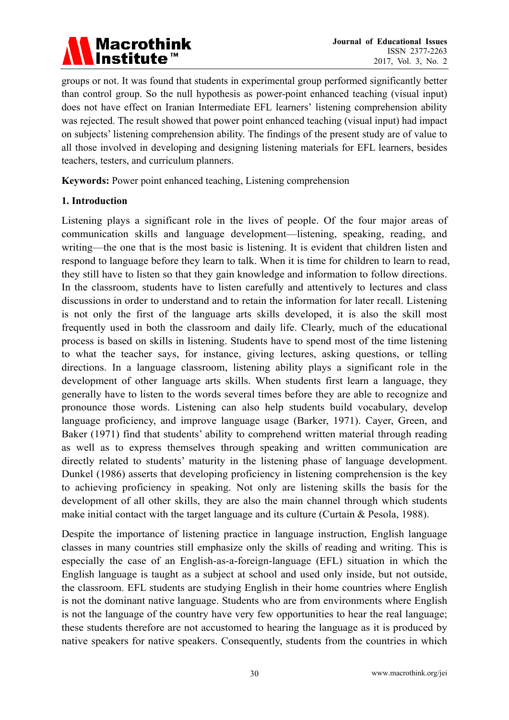

groups or not. It was found that students in experimental group performed significantly better than control group. So the null hypothesis as power-point enhanced teaching (visual input) does not have effect on Iranian Intermediate EFL learners' listening comprehension ability was rejected. The result showed that power point enhanced teaching (visual input) had impact on subjects' listening comprehension ability. The findings of the present study are of value to all those involved in developing and designing listening materials for EFL learners, besides teachers, testers, and curriculum planners.

**Keywords:** Power point enhanced teaching, Listening comprehension

#### **1. Introduction**

Listening plays a significant role in the lives of people. Of the four major areas of communication skills and language development—listening, speaking, reading, and writing—the one that is the most basic is listening. It is evident that children listen and respond to language before they learn to talk. When it is time for children to learn to read, they still have to listen so that they gain knowledge and information to follow directions. In the classroom, students have to listen carefully and attentively to lectures and class discussions in order to understand and to retain the information for later recall. Listening is not only the first of the language arts skills developed, it is also the skill most frequently used in both the classroom and daily life. Clearly, much of the educational process is based on skills in listening. Students have to spend most of the time listening to what the teacher says, for instance, giving lectures, asking questions, or telling directions. In a language classroom, listening ability plays a significant role in the development of other language arts skills. When students first learn a language, they generally have to listen to the words several times before they are able to recognize and pronounce those words. Listening can also help students build vocabulary, develop language proficiency, and improve language usage (Barker, 1971). Cayer, Green, and Baker (1971) find that students' ability to comprehend written material through reading as well as to express themselves through speaking and written communication are directly related to students' maturity in the listening phase of language development. Dunkel (1986) asserts that developing proficiency in listening comprehension is the key to achieving proficiency in speaking. Not only are listening skills the basis for the development of all other skills, they are also the main channel through which students make initial contact with the target language and its culture (Curtain & Pesola, 1988).

Despite the importance of listening practice in language instruction, English language classes in many countries still emphasize only the skills of reading and writing. This is especially the case of an English-as-a-foreign-language (EFL) situation in which the English language is taught as a subject at school and used only inside, but not outside, the classroom. EFL students are studying English in their home countries where English is not the dominant native language. Students who are from environments where English is not the language of the country have very few opportunities to hear the real language; these students therefore are not accustomed to hearing the language as it is produced by native speakers for native speakers. Consequently, students from the countries in which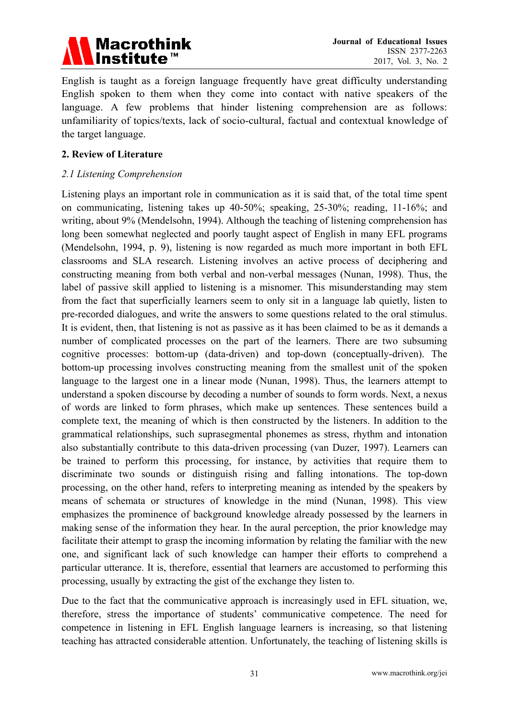

English is taught as a foreign language frequently have great difficulty understanding English spoken to them when they come into contact with native speakers of the language. A few problems that hinder listening comprehension are as follows: unfamiliarity of topics/texts, lack of socio-cultural, factual and contextual knowledge of the target language.

#### **2. Review of Literature**

#### *2.1 Listening Comprehension*

Listening plays an important role in communication as it is said that, of the total time spent on communicating, listening takes up 40-50%; speaking, 25-30%; reading, 11-16%; and writing, about 9% (Mendelsohn, 1994). Although the teaching of listening comprehension has long been somewhat neglected and poorly taught aspect of English in many EFL programs (Mendelsohn, 1994, p. 9), listening is now regarded as much more important in both EFL classrooms and SLA research. Listening involves an active process of deciphering and constructing meaning from both verbal and non-verbal messages (Nunan, 1998). Thus, the label of passive skill applied to listening is a misnomer. This misunderstanding may stem from the fact that superficially learners seem to only sit in a language lab quietly, listen to pre-recorded dialogues, and write the answers to some questions related to the oral stimulus. It is evident, then, that listening is not as passive as it has been claimed to be as it demands a number of complicated processes on the part of the learners. There are two subsuming cognitive processes: bottom-up (data-driven) and top-down (conceptually-driven). The bottom-up processing involves constructing meaning from the smallest unit of the spoken language to the largest one in a linear mode (Nunan, 1998). Thus, the learners attempt to understand a spoken discourse by decoding a number of sounds to form words. Next, a nexus of words are linked to form phrases, which make up sentences. These sentences build a complete text, the meaning of which is then constructed by the listeners. In addition to the grammatical relationships, such suprasegmental phonemes as stress, rhythm and intonation also substantially contribute to this data-driven processing (van Duzer, 1997). Learners can be trained to perform this processing, for instance, by activities that require them to discriminate two sounds or distinguish rising and falling intonations. The top-down processing, on the other hand, refers to interpreting meaning as intended by the speakers by means of schemata or structures of knowledge in the mind (Nunan, 1998). This view emphasizes the prominence of background knowledge already possessed by the learners in making sense of the information they hear. In the aural perception, the prior knowledge may facilitate their attempt to grasp the incoming information by relating the familiar with the new one, and significant lack of such knowledge can hamper their efforts to comprehend a particular utterance. It is, therefore, essential that learners are accustomed to performing this processing, usually by extracting the gist of the exchange they listen to.

Due to the fact that the communicative approach is increasingly used in EFL situation, we, therefore, stress the importance of students' communicative competence. The need for competence in listening in EFL English language learners is increasing, so that listening teaching has attracted considerable attention. Unfortunately, the teaching of listening skills is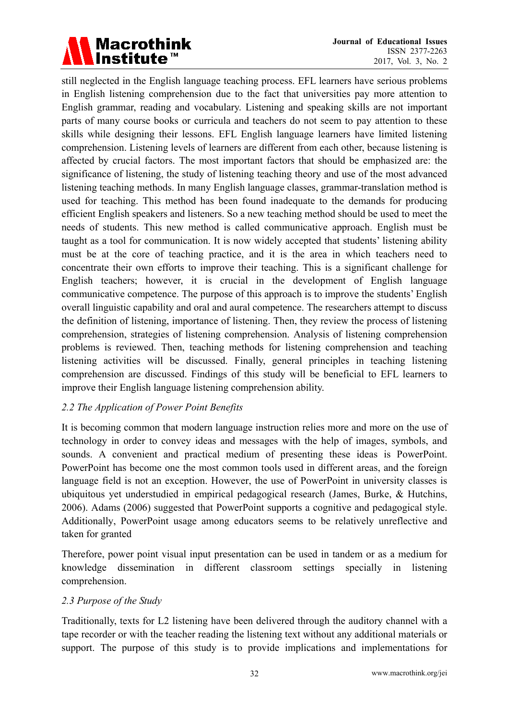# Macrothink<br>Institute™

still neglected in the English language teaching process. EFL learners have serious problems in English listening comprehension due to the fact that universities pay more attention to English grammar, reading and vocabulary. Listening and speaking skills are not important parts of many course books or curricula and teachers do not seem to pay attention to these skills while designing their lessons. EFL English language learners have limited listening comprehension. Listening levels of learners are different from each other, because listening is affected by crucial factors. The most important factors that should be emphasized are: the significance of listening, the study of listening teaching theory and use of the most advanced listening teaching methods. In many English language classes, grammar-translation method is used for teaching. This method has been found inadequate to the demands for producing efficient English speakers and listeners. So a new teaching method should be used to meet the needs of students. This new method is called communicative approach. English must be taught as a tool for communication. It is now widely accepted that students' listening ability must be at the core of teaching practice, and it is the area in which teachers need to concentrate their own efforts to improve their teaching. This is a significant challenge for English teachers; however, it is crucial in the development of English language communicative competence. The purpose of this approach is to improve the students' English overall linguistic capability and oral and aural competence. The researchers attempt to discuss the definition of listening, importance of listening. Then, they review the process of listening comprehension, strategies of listening comprehension. Analysis of listening comprehension problems is reviewed. Then, teaching methods for listening comprehension and teaching listening activities will be discussed. Finally, general principles in teaching listening comprehension are discussed. Findings of this study will be beneficial to EFL learners to improve their English language listening comprehension ability.

# *2.2 The Application of Power Point Benefits*

It is becoming common that modern language instruction relies more and more on the use of technology in order to convey ideas and messages with the help of images, symbols, and sounds. A convenient and practical medium of presenting these ideas is PowerPoint. PowerPoint has become one the most common tools used in different areas, and the foreign language field is not an exception. However, the use of PowerPoint in university classes is ubiquitous yet understudied in empirical pedagogical research (James, Burke, & Hutchins, 2006). Adams (2006) suggested that PowerPoint supports a cognitive and pedagogical style. Additionally, PowerPoint usage among educators seems to be relatively unreflective and taken for granted

Therefore, power point visual input presentation can be used in tandem or as a medium for knowledge dissemination in different classroom settings specially in listening comprehension.

# *2.3 Purpose of the Study*

Traditionally, texts for L2 listening have been delivered through the auditory channel with a tape recorder or with the teacher reading the listening text without any additional materials or support. The purpose of this study is to provide implications and implementations for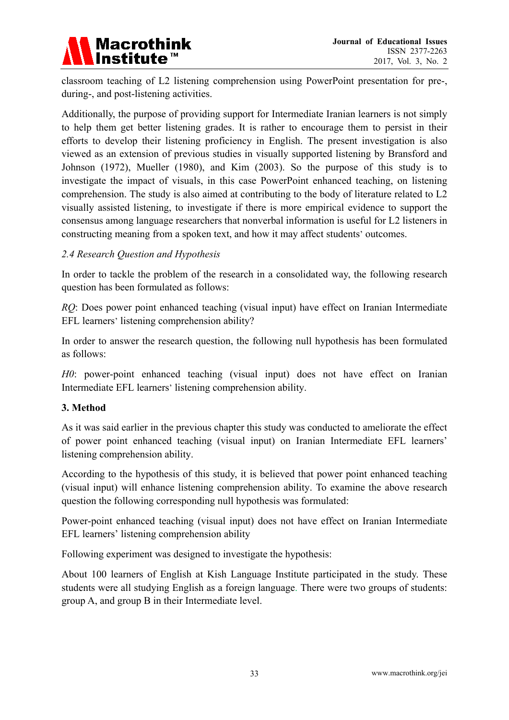

classroom teaching of L2 listening comprehension using PowerPoint presentation for pre-, during-, and post-listening activities.

Additionally, the purpose of providing support for Intermediate Iranian learners is not simply to help them get better listening grades. It is rather to encourage them to persist in their efforts to develop their listening proficiency in English. The present investigation is also viewed as an extension of previous studies in visually supported listening by Bransford and Johnson (1972), Mueller (1980), and Kim (2003). So the purpose of this study is to investigate the impact of visuals, in this case PowerPoint enhanced teaching, on listening comprehension. The study is also aimed at contributing to the body of literature related to L2 visually assisted listening, to investigate if there is more empirical evidence to support the consensus among language researchers that nonverbal information is useful for L2 listeners in constructing meaning from a spoken text, and how it may affect students' outcomes.

#### *2.4 Research Question and Hypothesis*

In order to tackle the problem of the research in a consolidated way, the following research question has been formulated as follows:

*RQ*: Does power point enhanced teaching (visual input) have effect on Iranian Intermediate EFL learners' listening comprehension ability?

In order to answer the research question, the following null hypothesis has been formulated as follows:

*H0*: power-point enhanced teaching (visual input) does not have effect on Iranian Intermediate EFL learners' listening comprehension ability.

#### **3. Method**

As it was said earlier in the previous chapter this study was conducted to ameliorate the effect of power point enhanced teaching (visual input) on Iranian Intermediate EFL learners' listening comprehension ability.

According to the hypothesis of this study, it is believed that power point enhanced teaching (visual input) will enhance listening comprehension ability. To examine the above research question the following corresponding null hypothesis was formulated:

Power-point enhanced teaching (visual input) does not have effect on Iranian Intermediate EFL learners' listening comprehension ability

Following experiment was designed to investigate the hypothesis:

About 100 learners of English at Kish Language Institute participated in the study. These students were all studying English as a foreign language. There were two groups of students: group A, and group B in their Intermediate level.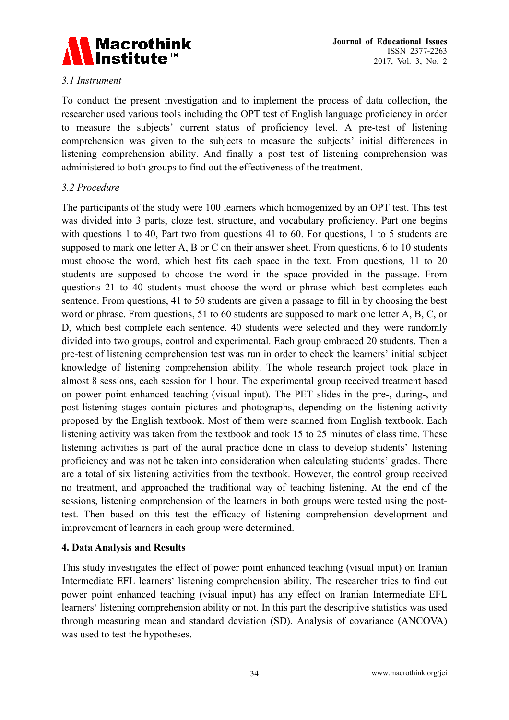

# *3.1 Instrument*

To conduct the present investigation and to implement the process of data collection, the researcher used various tools including the OPT test of English language proficiency in order to measure the subjects' current status of proficiency level. A pre-test of listening comprehension was given to the subjects to measure the subjects' initial differences in listening comprehension ability. And finally a post test of listening comprehension was administered to both groups to find out the effectiveness of the treatment.

# *3.2 Procedure*

The participants of the study were 100 learners which homogenized by an OPT test. This test was divided into 3 parts, cloze test, structure, and vocabulary proficiency. Part one begins with questions 1 to 40, Part two from questions 41 to 60. For questions, 1 to 5 students are supposed to mark one letter A, B or C on their answer sheet. From questions, 6 to 10 students must choose the word, which best fits each space in the text. From questions, 11 to 20 students are supposed to choose the word in the space provided in the passage. From questions 21 to 40 students must choose the word or phrase which best completes each sentence. From questions, 41 to 50 students are given a passage to fill in by choosing the best word or phrase. From questions, 51 to 60 students are supposed to mark one letter A, B, C, or D, which best complete each sentence. 40 students were selected and they were randomly divided into two groups, control and experimental. Each group embraced 20 students. Then a pre-test of listening comprehension test was run in order to check the learners' initial subject knowledge of listening comprehension ability. The whole research project took place in almost 8 sessions, each session for 1 hour. The experimental group received treatment based on power point enhanced teaching (visual input). The PET slides in the pre-, during-, and post-listening stages contain pictures and photographs, depending on the listening activity proposed by the English textbook. Most of them were scanned from English textbook. Each listening activity was taken from the textbook and took 15 to 25 minutes of class time. These listening activities is part of the aural practice done in class to develop students' listening proficiency and was not be taken into consideration when calculating students' grades. There are a total of six listening activities from the textbook. However, the control group received no treatment, and approached the traditional way of teaching listening. At the end of the sessions, listening comprehension of the learners in both groups were tested using the posttest. Then based on this test the efficacy of listening comprehension development and improvement of learners in each group were determined.

#### **4. Data Analysis and Results**

This study investigates the effect of power point enhanced teaching (visual input) on Iranian Intermediate EFL learners' listening comprehension ability. The researcher tries to find out power point enhanced teaching (visual input) has any effect on Iranian Intermediate EFL learners' listening comprehension ability or not. In this part the descriptive statistics was used through measuring mean and standard deviation (SD). Analysis of covariance (ANCOVA) was used to test the hypotheses.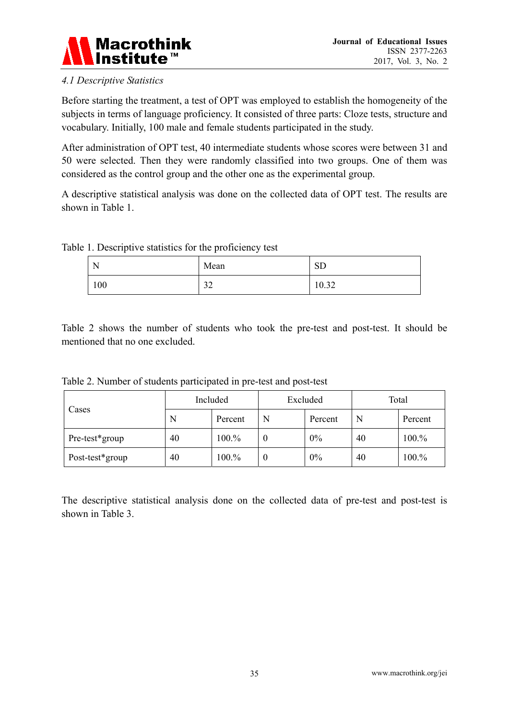

# *4.1 Descriptive Statistics*

Before starting the treatment, a test of OPT was employed to establish the homogeneity of the subjects in terms of language proficiency. It consisted of three parts: Cloze tests, structure and vocabulary. Initially, 100 male and female students participated in the study.

After administration of OPT test, 40 intermediate students whose scores were between 31 and 50 were selected. Then they were randomly classified into two groups. One of them was considered as the control group and the other one as the experimental group.

A descriptive statistical analysis was done on the collected data of OPT test. The results are shown in Table 1.

| N<br><b>TA</b> | Mean                | <b>SD</b> |
|----------------|---------------------|-----------|
| 100            | $\mathcal{L}$<br>32 | 10.32     |

Table 1. Descriptive statistics for the proficiency test

Table 2 shows the number of students who took the pre-test and post-test. It should be mentioned that no one excluded.

Table 2. Number of students participated in pre-test and post-test

| Cases           |    | Included |  | Excluded |    | Total   |  |
|-----------------|----|----------|--|----------|----|---------|--|
|                 | N  | Percent  |  | Percent  | N  | Percent |  |
| Pre-test*group  | 40 | 100.%    |  | 0%       | 40 | 100.%   |  |
| Post-test*group | 40 | 100.%    |  | 0%       | 40 | 100.%   |  |

The descriptive statistical analysis done on the collected data of pre-test and post-test is shown in Table 3.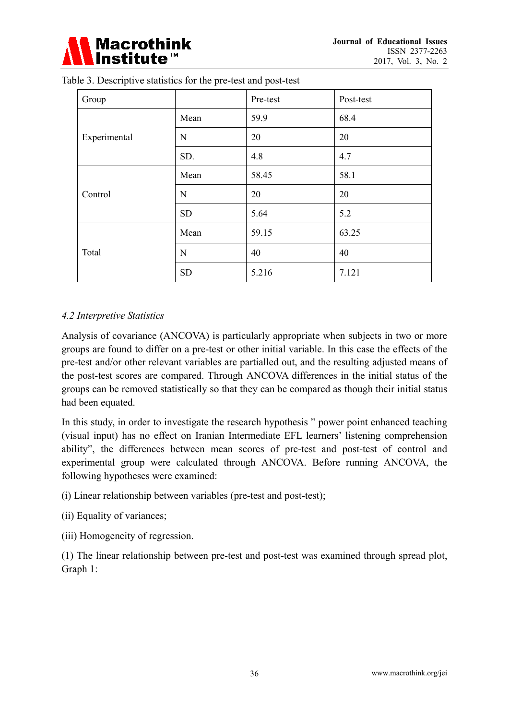

| Group        |           | Pre-test | Post-test |
|--------------|-----------|----------|-----------|
|              | Mean      | 59.9     | 68.4      |
| Experimental | N         | 20       | 20        |
|              | SD.       | 4.8      | 4.7       |
|              | Mean      | 58.45    | 58.1      |
| Control      | N         | 20       | 20        |
|              | <b>SD</b> | 5.64     | 5.2       |
|              | Mean      | 59.15    | 63.25     |
| Total        | N         | 40       | 40        |
|              | <b>SD</b> | 5.216    | 7.121     |

|  | Table 3. Descriptive statistics for the pre-test and post-test |  |
|--|----------------------------------------------------------------|--|
|  |                                                                |  |

# *4.2 Interpretive Statistics*

Analysis of covariance (ANCOVA) is particularly appropriate when subjects in two or more groups are found to differ on a pre-test or other initial variable. In this case the effects of the pre-test and/or other relevant variables are partialled out, and the resulting adjusted means of the post-test scores are compared. Through ANCOVA differences in the initial status of the groups can be removed statistically so that they can be compared as though their initial status had been equated.

In this study, in order to investigate the research hypothesis " power point enhanced teaching (visual input) has no effect on Iranian Intermediate EFL learners' listening comprehension ability", the differences between mean scores of pre-test and post-test of control and experimental group were calculated through ANCOVA. Before running ANCOVA, the following hypotheses were examined:

- (i) Linear relationship between variables (pre-test and post-test);
- (ii) Equality of variances;
- (iii) Homogeneity of regression.

(1) The linear relationship between pre-test and post-test was examined through spread plot, Graph 1: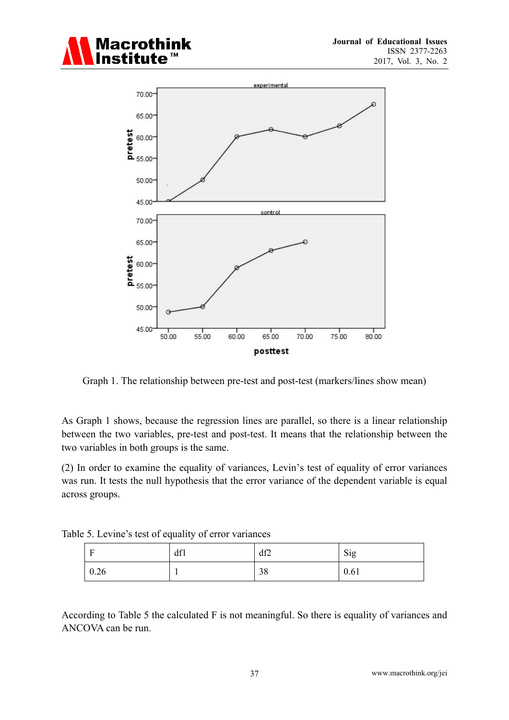



Graph 1. The relationship between pre-test and post-test (markers/lines show mean)

As Graph 1 shows, because the regression lines are parallel, so there is a linear relationship between the two variables, pre-test and post-test. It means that the relationship between the two variables in both groups is the same.

(2) In order to examine the equality of variances, Levin's test of equality of error variances was run. It tests the null hypothesis that the error variance of the dependent variable is equal across groups.

| $\mathbf{r}$ | dfl | df2 | Sig  |
|--------------|-----|-----|------|
| 0.26         | л.  | 38  | 0.61 |

Table 5. Levine's test of equality of error variances

According to Table 5 the calculated F is not meaningful. So there is equality of variances and ANCOVA can be run.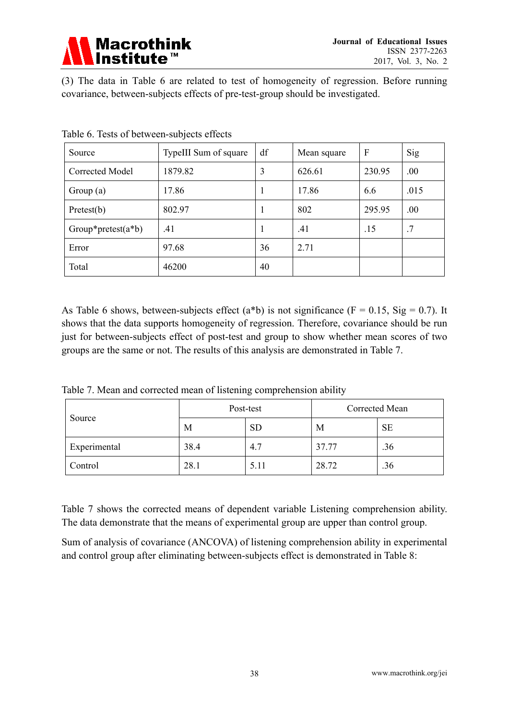

(3) The data in Table 6 are related to test of homogeneity of regression. Before running covariance, between-subjects effects of pre-test-group should be investigated.

| Source                | <b>TypeIII</b> Sum of square | df | Mean square | F      | Sig  |
|-----------------------|------------------------------|----|-------------|--------|------|
| Corrected Model       | 1879.82                      | 3  | 626.61      | 230.95 | .00. |
| Group $(a)$           | 17.86                        |    | 17.86       | 6.6    | .015 |
| Preetet(b)            | 802.97                       |    | 802         | 295.95 | .00  |
| Group*pretest $(a*b)$ | .41                          |    | .41         | .15    | .7   |
| Error                 | 97.68                        | 36 | 2.71        |        |      |
| Total                 | 46200                        | 40 |             |        |      |

Table 6. Tests of between-subjects effects

As Table 6 shows, between-subjects effect (a\*b) is not significance ( $F = 0.15$ , Sig = 0.7). It shows that the data supports homogeneity of regression. Therefore, covariance should be run just for between-subjects effect of post-test and group to show whether mean scores of two groups are the same or not. The results of this analysis are demonstrated in Table 7.

| Table 7. Mean and corrected mean of listening comprehension ability |  |  |
|---------------------------------------------------------------------|--|--|
|---------------------------------------------------------------------|--|--|

|              | Post-test |      | Corrected Mean |           |  |
|--------------|-----------|------|----------------|-----------|--|
| Source       | M         | SD   | M              | <b>SE</b> |  |
| Experimental | 38.4      | 4.7  | 37.77          | .36       |  |
| Control      | 28.1      | 5.11 | 28.72          | .36       |  |

Table 7 shows the corrected means of dependent variable Listening comprehension ability. The data demonstrate that the means of experimental group are upper than control group.

Sum of analysis of covariance (ANCOVA) of listening comprehension ability in experimental and control group after eliminating between-subjects effect is demonstrated in Table 8: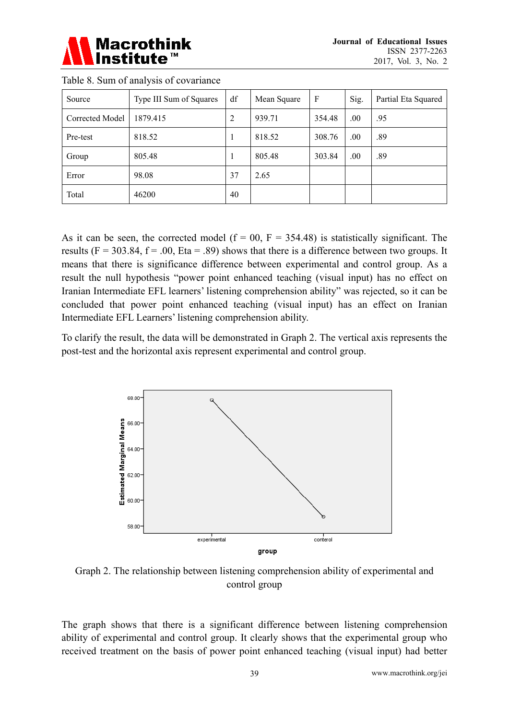

| Source          | Type III Sum of Squares | df | Mean Square | F      | Sig. | Partial Eta Squared |
|-----------------|-------------------------|----|-------------|--------|------|---------------------|
| Corrected Model | 1879.415                | 2  | 939.71      | 354.48 | .00. | .95                 |
| Pre-test        | 818.52                  |    | 818.52      | 308.76 | .00. | .89                 |
| Group           | 805.48                  |    | 805.48      | 303.84 | .00. | .89                 |
| Error           | 98.08                   | 37 | 2.65        |        |      |                     |
| Total           | 46200                   | 40 |             |        |      |                     |

Table 8. Sum of analysis of covariance

As it can be seen, the corrected model ( $f = 00$ ,  $F = 354.48$ ) is statistically significant. The results ( $F = 303.84$ ,  $f = .00$ ,  $Eta = .89$ ) shows that there is a difference between two groups. It means that there is significance difference between experimental and control group. As a result the null hypothesis "power point enhanced teaching (visual input) has no effect on Iranian Intermediate EFL learners' listening comprehension ability" was rejected, so it can be concluded that power point enhanced teaching (visual input) has an effect on Iranian Intermediate EFL Learners' listening comprehension ability.

To clarify the result, the data will be demonstrated in Graph 2. The vertical axis represents the post-test and the horizontal axis represent experimental and control group.



Graph 2. The relationship between listening comprehension ability of experimental and control group

The graph shows that there is a significant difference between listening comprehension ability of experimental and control group. It clearly shows that the experimental group who received treatment on the basis of power point enhanced teaching (visual input) had better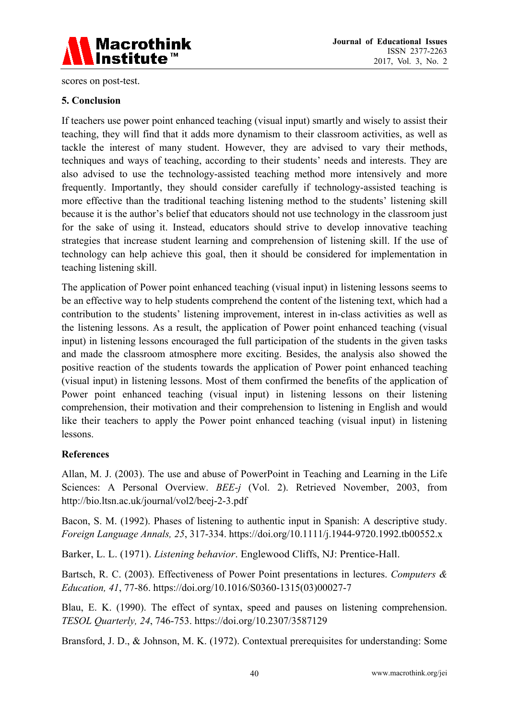

scores on post-test.

#### **5. Conclusion**

If teachers use power point enhanced teaching (visual input) smartly and wisely to assist their teaching, they will find that it adds more dynamism to their classroom activities, as well as tackle the interest of many student. However, they are advised to vary their methods, techniques and ways of teaching, according to their students' needs and interests. They are also advised to use the technology-assisted teaching method more intensively and more frequently. Importantly, they should consider carefully if technology-assisted teaching is more effective than the traditional teaching listening method to the students' listening skill because it is the author's belief that educators should not use technology in the classroom just for the sake of using it. Instead, educators should strive to develop innovative teaching strategies that increase student learning and comprehension of listening skill. If the use of technology can help achieve this goal, then it should be considered for implementation in teaching listening skill.

The application of Power point enhanced teaching (visual input) in listening lessons seems to be an effective way to help students comprehend the content of the listening text, which had a contribution to the students' listening improvement, interest in in-class activities as well as the listening lessons. As a result, the application of Power point enhanced teaching (visual input) in listening lessons encouraged the full participation of the students in the given tasks and made the classroom atmosphere more exciting. Besides, the analysis also showed the positive reaction of the students towards the application of Power point enhanced teaching (visual input) in listening lessons. Most of them confirmed the benefits of the application of Power point enhanced teaching (visual input) in listening lessons on their listening comprehension, their motivation and their comprehension to listening in English and would like their teachers to apply the Power point enhanced teaching (visual input) in listening lessons.

# **References**

Allan, M. J. (2003). The use and abuse of PowerPoint in Teaching and Learning in the Life Sciences: A Personal Overview. *BEE-j* (Vol. 2). Retrieved November, 2003, from http://bio.ltsn.ac.uk/journal/vol2/beej-2-3.pdf

Bacon, S. M. (1992). Phases of listening to authentic input in Spanish: A descriptive study. *Foreign Language Annals, 25*, 317-334. https://doi.org/10.1111/j.1944-9720.1992.tb00552.x

Barker, L. L. (1971). *Listening behavior*. Englewood Cliffs, NJ: Prentice-Hall.

Bartsch, R. C. (2003). Effectiveness of Power Point presentations in lectures. *Computers & Education, 41*, 77-86. https://doi.org/10.1016/S0360-1315(03)00027-7

Blau, E. K. (1990). The effect of syntax, speed and pauses on listening comprehension. *TESOL Quarterly, 24*, 746-753. https://doi.org/10.2307/3587129

Bransford, J. D., & Johnson, M. K. (1972). Contextual prerequisites for understanding: Some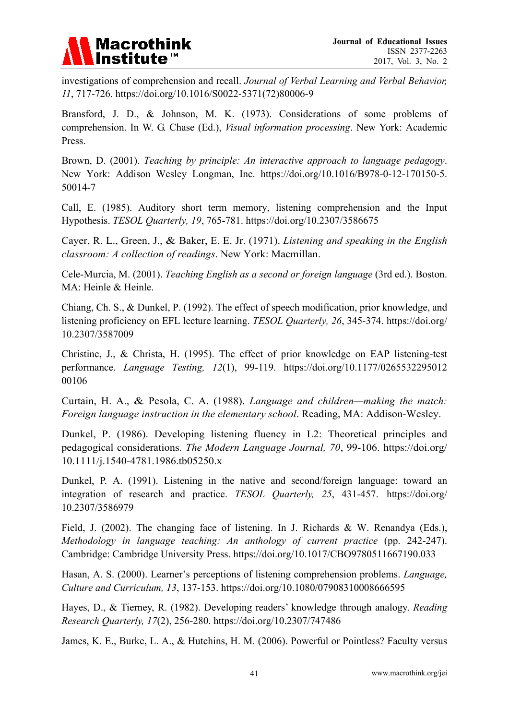

investigations of comprehension and recall. *Journal of Verbal Learning and Verbal Behavior, 11*, 717-726. https://doi.org/10.1016/S0022-5371(72)80006-9

Bransford, J. D., & Johnson, M. K. (1973). Considerations of some problems of comprehension. In W. G. Chase (Ed.), *Visual information processing*. New York: Academic Press.

Brown, D. (2001). *Teaching by principle: An interactive approach to language pedagogy*. New York: Addison Wesley Longman, Inc. https://doi.org/10.1016/B978-0-12-170150-5. 50014-7

Call, E. (1985). Auditory short term memory, listening comprehension and the Input Hypothesis. *TESOL Quarterly, 19*, 765-781. https://doi.org/10.2307/3586675

Cayer, R. L., Green, J., & Baker, E. E. Jr. (1971). *Listening and speaking in the English classroom: A collection of readings*. New York: Macmillan.

Cele-Murcia, M. (2001). *Teaching English as a second or foreign language* (3rd ed.). Boston. MA: Heinle & Heinle.

Chiang, Ch. S., & Dunkel, P. (1992). The effect of speech modification, prior knowledge, and listening proficiency on EFL lecture learning. *TESOL Quarterly, 26*, 345-374. https://doi.org/ 10.2307/3587009

Christine, J., & Christa, H. (1995). The effect of prior knowledge on EAP listening-test performance. *Language Testing, 12*(1), 99-119. https://doi.org/10.1177/0265532295012 00106

Curtain, H. A., & Pesola, C. A. (1988). *Language and children—making the match: Foreign language instruction in the elementary school*. Reading, MA: Addison-Wesley.

Dunkel, P. (1986). Developing listening fluency in L2: Theoretical principles and pedagogical considerations. *The Modern Language Journal, 70*, 99-106. https://doi.org/ 10.1111/j.1540-4781.1986.tb05250.x

Dunkel, P. A. (1991). Listening in the native and second/foreign language: toward an integration of research and practice. *TESOL Quarterly, 25*, 431-457. https://doi.org/ 10.2307/3586979

Field, J. (2002). The changing face of listening. In J. Richards & W. Renandya (Eds.), *Methodology in language teaching: An anthology of current practice* (pp. 242-247). Cambridge: Cambridge University Press. https://doi.org/10.1017/CBO9780511667190.033

Hasan, A. S. (2000). Learner's perceptions of listening comprehension problems. *Language, Culture and Curriculum, 13*, 137-153. https://doi.org/10.1080/07908310008666595

Hayes, D., & Tierney, R. (1982). Developing readers' knowledge through analogy. *Reading Research Quarterly, 17*(2), 256-280. https://doi.org/10.2307/747486

James, K. E., Burke, L. A., & Hutchins, H. M. (2006). Powerful or Pointless? Faculty versus